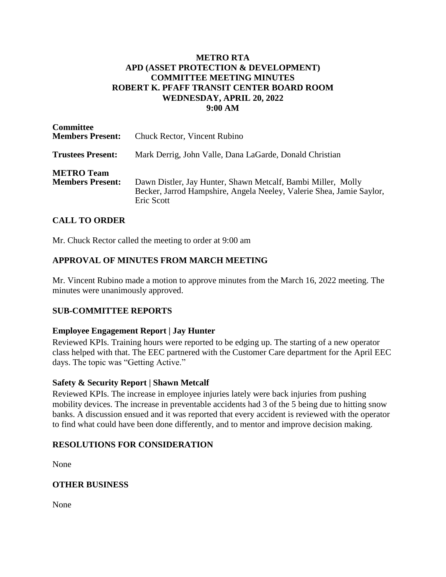### **METRO RTA APD (ASSET PROTECTION & DEVELOPMENT) COMMITTEE MEETING MINUTES ROBERT K. PFAFF TRANSIT CENTER BOARD ROOM WEDNESDAY, APRIL 20, 2022 9:00 AM**

| <b>Committee</b><br><b>Members Present:</b>  | <b>Chuck Rector, Vincent Rubino</b>                                                                                                                |
|----------------------------------------------|----------------------------------------------------------------------------------------------------------------------------------------------------|
| <b>Trustees Present:</b>                     | Mark Derrig, John Valle, Dana LaGarde, Donald Christian                                                                                            |
| <b>METRO</b> Team<br><b>Members Present:</b> | Dawn Distler, Jay Hunter, Shawn Metcalf, Bambi Miller, Molly<br>Becker, Jarrod Hampshire, Angela Neeley, Valerie Shea, Jamie Saylor,<br>Eric Scott |

# **CALL TO ORDER**

Mr. Chuck Rector called the meeting to order at 9:00 am

# **APPROVAL OF MINUTES FROM MARCH MEETING**

Mr. Vincent Rubino made a motion to approve minutes from the March 16, 2022 meeting. The minutes were unanimously approved.

### **SUB-COMMITTEE REPORTS**

#### **Employee Engagement Report | Jay Hunter**

Reviewed KPIs. Training hours were reported to be edging up. The starting of a new operator class helped with that. The EEC partnered with the Customer Care department for the April EEC days. The topic was "Getting Active."

#### **Safety & Security Report | Shawn Metcalf**

Reviewed KPIs. The increase in employee injuries lately were back injuries from pushing mobility devices. The increase in preventable accidents had 3 of the 5 being due to hitting snow banks. A discussion ensued and it was reported that every accident is reviewed with the operator to find what could have been done differently, and to mentor and improve decision making.

### **RESOLUTIONS FOR CONSIDERATION**

None

### **OTHER BUSINESS**

None